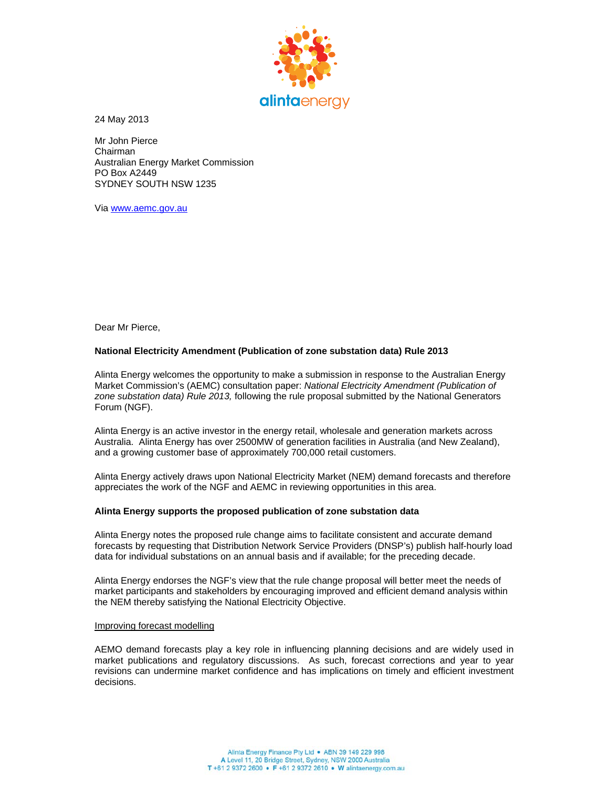

24 May 2013

Mr John Pierce Chairman Australian Energy Market Commission PO Box A2449 SYDNEY SOUTH NSW 1235

Via www.aemc.gov.au

Dear Mr Pierce,

# **National Electricity Amendment (Publication of zone substation data) Rule 2013**

Alinta Energy welcomes the opportunity to make a submission in response to the Australian Energy Market Commission's (AEMC) consultation paper: *National Electricity Amendment (Publication of zone substation data) Rule 2013,* following the rule proposal submitted by the National Generators Forum (NGF).

Alinta Energy is an active investor in the energy retail, wholesale and generation markets across Australia. Alinta Energy has over 2500MW of generation facilities in Australia (and New Zealand), and a growing customer base of approximately 700,000 retail customers.

Alinta Energy actively draws upon National Electricity Market (NEM) demand forecasts and therefore appreciates the work of the NGF and AEMC in reviewing opportunities in this area.

#### **Alinta Energy supports the proposed publication of zone substation data**

Alinta Energy notes the proposed rule change aims to facilitate consistent and accurate demand forecasts by requesting that Distribution Network Service Providers (DNSP's) publish half-hourly load data for individual substations on an annual basis and if available; for the preceding decade.

Alinta Energy endorses the NGF's view that the rule change proposal will better meet the needs of market participants and stakeholders by encouraging improved and efficient demand analysis within the NEM thereby satisfying the National Electricity Objective.

### Improving forecast modelling

AEMO demand forecasts play a key role in influencing planning decisions and are widely used in market publications and regulatory discussions. As such, forecast corrections and year to year revisions can undermine market confidence and has implications on timely and efficient investment decisions.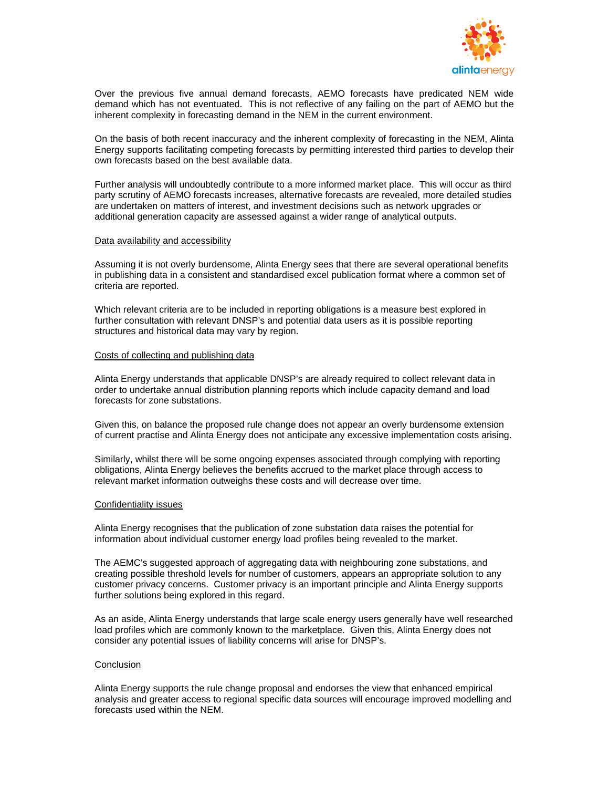

Over the previous five annual demand forecasts, AEMO forecasts have predicated NEM wide demand which has not eventuated. This is not reflective of any failing on the part of AEMO but the inherent complexity in forecasting demand in the NEM in the current environment.

On the basis of both recent inaccuracy and the inherent complexity of forecasting in the NEM, Alinta Energy supports facilitating competing forecasts by permitting interested third parties to develop their own forecasts based on the best available data.

Further analysis will undoubtedly contribute to a more informed market place. This will occur as third party scrutiny of AEMO forecasts increases, alternative forecasts are revealed, more detailed studies are undertaken on matters of interest, and investment decisions such as network upgrades or additional generation capacity are assessed against a wider range of analytical outputs.

## Data availability and accessibility

Assuming it is not overly burdensome, Alinta Energy sees that there are several operational benefits in publishing data in a consistent and standardised excel publication format where a common set of criteria are reported.

Which relevant criteria are to be included in reporting obligations is a measure best explored in further consultation with relevant DNSP's and potential data users as it is possible reporting structures and historical data may vary by region.

## Costs of collecting and publishing data

Alinta Energy understands that applicable DNSP's are already required to collect relevant data in order to undertake annual distribution planning reports which include capacity demand and load forecasts for zone substations.

Given this, on balance the proposed rule change does not appear an overly burdensome extension of current practise and Alinta Energy does not anticipate any excessive implementation costs arising.

Similarly, whilst there will be some ongoing expenses associated through complying with reporting obligations, Alinta Energy believes the benefits accrued to the market place through access to relevant market information outweighs these costs and will decrease over time.

#### Confidentiality issues

Alinta Energy recognises that the publication of zone substation data raises the potential for information about individual customer energy load profiles being revealed to the market.

The AEMC's suggested approach of aggregating data with neighbouring zone substations, and creating possible threshold levels for number of customers, appears an appropriate solution to any customer privacy concerns. Customer privacy is an important principle and Alinta Energy supports further solutions being explored in this regard.

As an aside, Alinta Energy understands that large scale energy users generally have well researched load profiles which are commonly known to the marketplace. Given this, Alinta Energy does not consider any potential issues of liability concerns will arise for DNSP's.

# **Conclusion**

Alinta Energy supports the rule change proposal and endorses the view that enhanced empirical analysis and greater access to regional specific data sources will encourage improved modelling and forecasts used within the NEM.